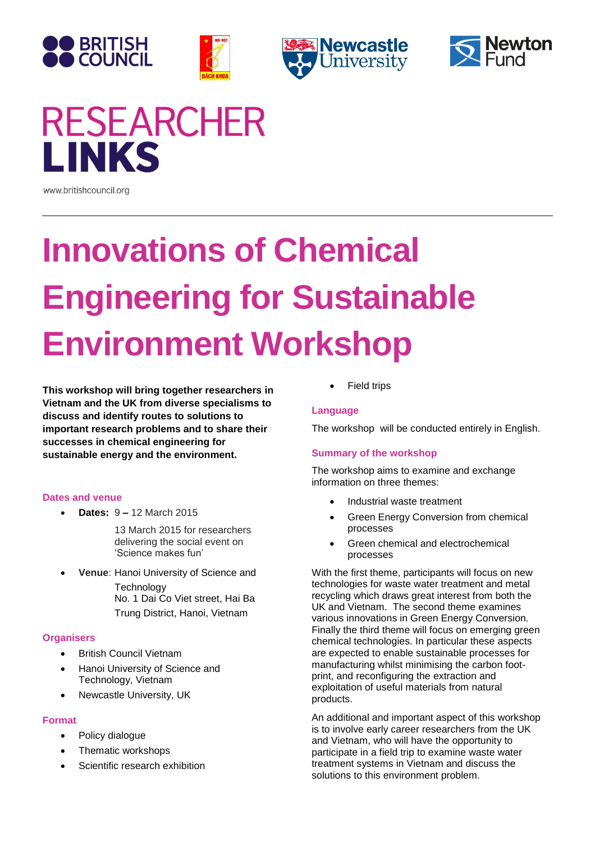







# **RESEARCHER LINKS**

www.britishcouncil.org

# **Innovations of Chemical Engineering for Sustainable Environment Workshop**

**This workshop will bring together researchers in Vietnam and the UK from diverse specialisms to discuss and identify routes to solutions to important research problems and to share their successes in chemical engineering for sustainable energy and the environment.**

# **Dates and venue**

**Dates:** 9 **–** 12 March 2015

13 March 2015 for researchers delivering the social event on 'Science makes fun'

 **Venue**: Hanoi University of Science and **Technology** No. 1 Dai Co Viet street, Hai Ba

Trung District, Hanoi, Vietnam

# **Organisers**

- **•** British Council Vietnam
- Hanoi University of Science and Technology, Vietnam
- Newcastle University, UK

#### **Format**

- Policy dialogue
- Thematic workshops
- Scientific research exhibition

Field trips

#### **Language**

The workshop will be conducted entirely in English.

# **Summary of the workshop**

The workshop aims to examine and exchange information on three themes:

- Industrial waste treatment
- Green Energy Conversion from chemical processes
- Green chemical and electrochemical processes

With the first theme, participants will focus on new technologies for waste water treatment and metal recycling which draws great interest from both the UK and Vietnam. The second theme examines various innovations in Green Energy Conversion. Finally the third theme will focus on emerging green chemical technologies. In particular these aspects are expected to enable sustainable processes for manufacturing whilst minimising the carbon footprint, and reconfiguring the extraction and exploitation of useful materials from natural products.

An additional and important aspect of this workshop is to involve early career researchers from the UK and Vietnam, who will have the opportunity to participate in a field trip to examine waste water treatment systems in Vietnam and discuss the solutions to this environment problem.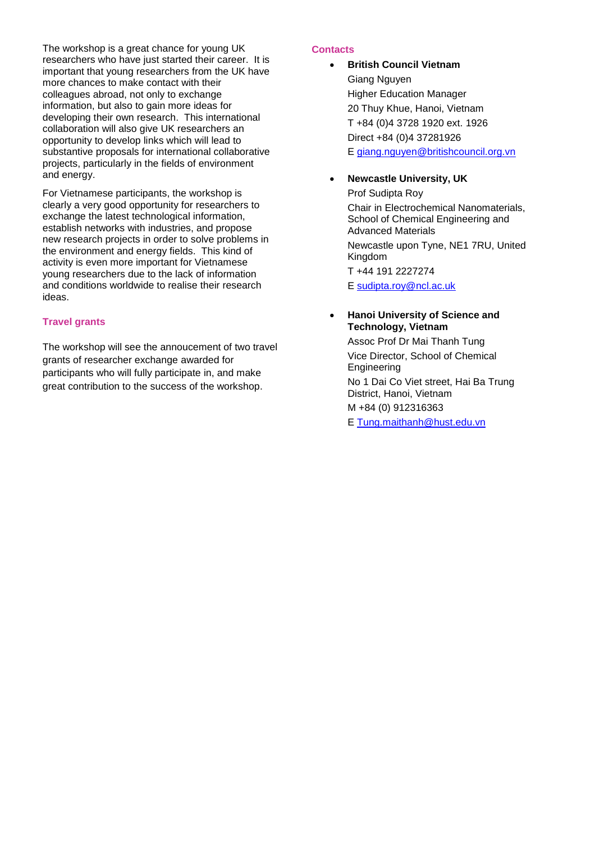The workshop is a great chance for young UK researchers who have just started their career. It is important that young researchers from the UK have more chances to make contact with their colleagues abroad, not only to exchange information, but also to gain more ideas for developing their own research. This international collaboration will also give UK researchers an opportunity to develop links which will lead to substantive proposals for international collaborative projects, particularly in the fields of environment and energy.

For Vietnamese participants, the workshop is clearly a very good opportunity for researchers to exchange the latest technological information, establish networks with industries, and propose new research projects in order to solve problems in the environment and energy fields. This kind of activity is even more important for Vietnamese young researchers due to the lack of information and conditions worldwide to realise their research ideas.

### **Travel grants**

The workshop will see the annoucement of two travel grants of researcher exchange awarded for participants who will fully participate in, and make great contribution to the success of the workshop.

#### **Contacts**

- **•** British Council Vietnam Giang Nguyen Higher Education Manager 20 Thuy Khue, Hanoi, Vietnam T +84 (0)4 3728 1920 ext. 1926 Direct +84 (0)4 37281926 E [giang.nguyen@britishcouncil.org.vn](mailto:giang.nguyen@britishcouncil.org.vn)
- **Newcastle University, UK**

Prof Sudipta Roy Chair in Electrochemical Nanomaterials, School of Chemical Engineering and Advanced Materials

Newcastle upon Tyne, NE1 7RU, United Kingdom

T +44 191 2227274

E [sudipta.roy@ncl.ac.uk](mailto:sudipta.roy@ncl.ac.uk)

#### **Hanoi University of Science and Technology, Vietnam**

Assoc Prof Dr Mai Thanh Tung Vice Director, School of Chemical Engineering No 1 Dai Co Viet street, Hai Ba Trung District, Hanoi, Vietnam M +84 (0) 912316363 E [Tung.maithanh@hust.edu.vn](mailto:Tung.maithanh@hust.edu.vn)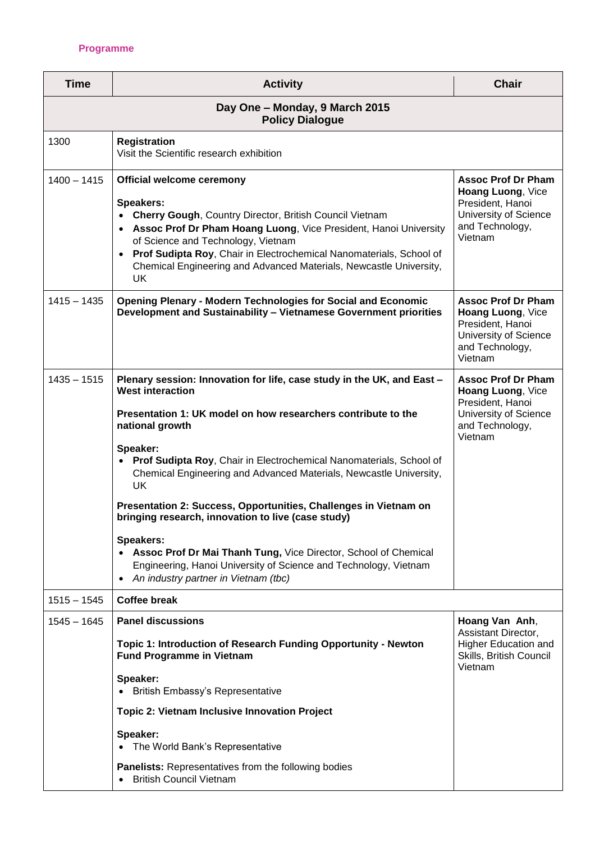## **Programme**

| <b>Time</b>                                              | <b>Activity</b>                                                                                                                                                                                                                                                                                                                                                                                                                                                                                                                                                                                                                                                                           | <b>Chair</b>                                                                                                              |  |  |  |
|----------------------------------------------------------|-------------------------------------------------------------------------------------------------------------------------------------------------------------------------------------------------------------------------------------------------------------------------------------------------------------------------------------------------------------------------------------------------------------------------------------------------------------------------------------------------------------------------------------------------------------------------------------------------------------------------------------------------------------------------------------------|---------------------------------------------------------------------------------------------------------------------------|--|--|--|
| Day One - Monday, 9 March 2015<br><b>Policy Dialogue</b> |                                                                                                                                                                                                                                                                                                                                                                                                                                                                                                                                                                                                                                                                                           |                                                                                                                           |  |  |  |
| 1300                                                     | <b>Registration</b><br>Visit the Scientific research exhibition                                                                                                                                                                                                                                                                                                                                                                                                                                                                                                                                                                                                                           |                                                                                                                           |  |  |  |
| $1400 - 1415$                                            | <b>Official welcome ceremony</b><br>Speakers:<br><b>Cherry Gough, Country Director, British Council Vietnam</b><br>Assoc Prof Dr Pham Hoang Luong, Vice President, Hanoi University<br>of Science and Technology, Vietnam<br>Prof Sudipta Roy, Chair in Electrochemical Nanomaterials, School of<br>Chemical Engineering and Advanced Materials, Newcastle University,<br><b>UK</b>                                                                                                                                                                                                                                                                                                       | <b>Assoc Prof Dr Pham</b><br>Hoang Luong, Vice<br>President, Hanoi<br>University of Science<br>and Technology,<br>Vietnam |  |  |  |
| $1415 - 1435$                                            | <b>Opening Plenary - Modern Technologies for Social and Economic</b><br>Development and Sustainability - Vietnamese Government priorities                                                                                                                                                                                                                                                                                                                                                                                                                                                                                                                                                 | <b>Assoc Prof Dr Pham</b><br>Hoang Luong, Vice<br>President, Hanoi<br>University of Science<br>and Technology,<br>Vietnam |  |  |  |
| $1435 - 1515$                                            | Plenary session: Innovation for life, case study in the UK, and East -<br><b>West interaction</b><br>Presentation 1: UK model on how researchers contribute to the<br>national growth<br>Speaker:<br>Prof Sudipta Roy, Chair in Electrochemical Nanomaterials, School of<br>Chemical Engineering and Advanced Materials, Newcastle University,<br>UK<br>Presentation 2: Success, Opportunities, Challenges in Vietnam on<br>bringing research, innovation to live (case study)<br>Speakers:<br>• Assoc Prof Dr Mai Thanh Tung, Vice Director, School of Chemical<br>Engineering, Hanoi University of Science and Technology, Vietnam<br>An industry partner in Vietnam (tbc)<br>$\bullet$ | <b>Assoc Prof Dr Pham</b><br>Hoang Luong, Vice<br>President, Hanoi<br>University of Science<br>and Technology,<br>Vietnam |  |  |  |
| $1515 - 1545$                                            | <b>Coffee break</b>                                                                                                                                                                                                                                                                                                                                                                                                                                                                                                                                                                                                                                                                       |                                                                                                                           |  |  |  |
| $1545 - 1645$                                            | <b>Panel discussions</b><br>Topic 1: Introduction of Research Funding Opportunity - Newton<br><b>Fund Programme in Vietnam</b><br>Speaker:<br>British Embassy's Representative                                                                                                                                                                                                                                                                                                                                                                                                                                                                                                            | Hoang Van Anh,<br>Assistant Director,<br><b>Higher Education and</b><br>Skills, British Council<br>Vietnam                |  |  |  |
|                                                          | Topic 2: Vietnam Inclusive Innovation Project<br>Speaker:<br>The World Bank's Representative                                                                                                                                                                                                                                                                                                                                                                                                                                                                                                                                                                                              |                                                                                                                           |  |  |  |
|                                                          | <b>Panelists:</b> Representatives from the following bodies<br><b>British Council Vietnam</b>                                                                                                                                                                                                                                                                                                                                                                                                                                                                                                                                                                                             |                                                                                                                           |  |  |  |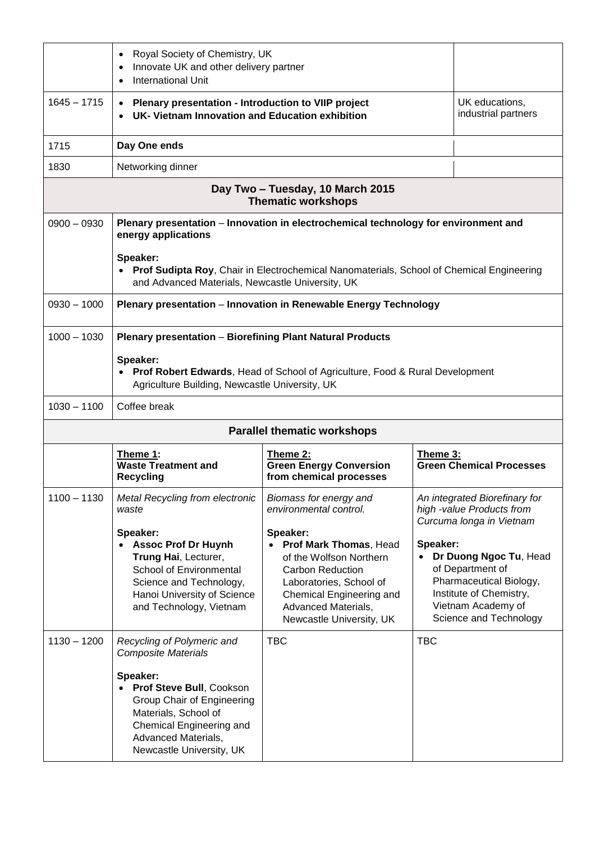|                                                               | Royal Society of Chemistry, UK<br>٠<br>Innovate UK and other delivery partner<br><b>International Unit</b>                                                                                                                                                               |                                                                                                                                                                                                                                                        |            |                                                                                                                                                                                                                                            |
|---------------------------------------------------------------|--------------------------------------------------------------------------------------------------------------------------------------------------------------------------------------------------------------------------------------------------------------------------|--------------------------------------------------------------------------------------------------------------------------------------------------------------------------------------------------------------------------------------------------------|------------|--------------------------------------------------------------------------------------------------------------------------------------------------------------------------------------------------------------------------------------------|
| $1645 - 1715$                                                 | Plenary presentation - Introduction to VIIP project<br>UK- Vietnam Innovation and Education exhibition                                                                                                                                                                   |                                                                                                                                                                                                                                                        |            | UK educations,<br>industrial partners                                                                                                                                                                                                      |
| 1715                                                          | Day One ends                                                                                                                                                                                                                                                             |                                                                                                                                                                                                                                                        |            |                                                                                                                                                                                                                                            |
| 1830                                                          | Networking dinner                                                                                                                                                                                                                                                        |                                                                                                                                                                                                                                                        |            |                                                                                                                                                                                                                                            |
| Day Two - Tuesday, 10 March 2015<br><b>Thematic workshops</b> |                                                                                                                                                                                                                                                                          |                                                                                                                                                                                                                                                        |            |                                                                                                                                                                                                                                            |
| $0900 - 0930$                                                 | Plenary presentation - Innovation in electrochemical technology for environment and<br>energy applications<br>Speaker:<br>• Prof Sudipta Roy, Chair in Electrochemical Nanomaterials, School of Chemical Engineering<br>and Advanced Materials, Newcastle University, UK |                                                                                                                                                                                                                                                        |            |                                                                                                                                                                                                                                            |
| $0930 - 1000$                                                 | Plenary presentation - Innovation in Renewable Energy Technology                                                                                                                                                                                                         |                                                                                                                                                                                                                                                        |            |                                                                                                                                                                                                                                            |
| $1000 - 1030$                                                 | <b>Plenary presentation - Biorefining Plant Natural Products</b><br>Speaker:<br>• Prof Robert Edwards, Head of School of Agriculture, Food & Rural Development<br>Agriculture Building, Newcastle University, UK                                                         |                                                                                                                                                                                                                                                        |            |                                                                                                                                                                                                                                            |
| $1030 - 1100$                                                 | Coffee break                                                                                                                                                                                                                                                             |                                                                                                                                                                                                                                                        |            |                                                                                                                                                                                                                                            |
| <b>Parallel thematic workshops</b>                            |                                                                                                                                                                                                                                                                          |                                                                                                                                                                                                                                                        |            |                                                                                                                                                                                                                                            |
|                                                               | Theme 1:<br><b>Waste Treatment and</b><br><b>Recycling</b>                                                                                                                                                                                                               | Theme 2:<br><b>Green Energy Conversion</b><br>from chemical processes                                                                                                                                                                                  | Theme 3:   | <b>Green Chemical Processes</b>                                                                                                                                                                                                            |
| $1100 - 1130$                                                 | Metal Recycling from electronic<br>waste<br>Speaker:<br>• Assoc Prof Dr Huynh<br>Trung Hai, Lecturer,<br>School of Environmental<br>Science and Technology,<br>Hanoi University of Science<br>and Technology, Vietnam                                                    | Biomass for energy and<br>environmental control.<br>Speaker:<br>Prof Mark Thomas, Head<br>of the Wolfson Northern<br><b>Carbon Reduction</b><br>Laboratories, School of<br>Chemical Engineering and<br>Advanced Materials,<br>Newcastle University, UK | Speaker:   | An integrated Biorefinary for<br>high -value Products from<br>Curcuma longa in Vietnam<br>Dr Duong Ngoc Tu, Head<br>of Department of<br>Pharmaceutical Biology,<br>Institute of Chemistry,<br>Vietnam Academy of<br>Science and Technology |
| $1130 - 1200$                                                 | Recycling of Polymeric and<br><b>Composite Materials</b><br>Speaker:<br>Prof Steve Bull, Cookson<br>Group Chair of Engineering<br>Materials, School of<br>Chemical Engineering and<br>Advanced Materials,<br>Newcastle University, UK                                    | <b>TBC</b>                                                                                                                                                                                                                                             | <b>TBC</b> |                                                                                                                                                                                                                                            |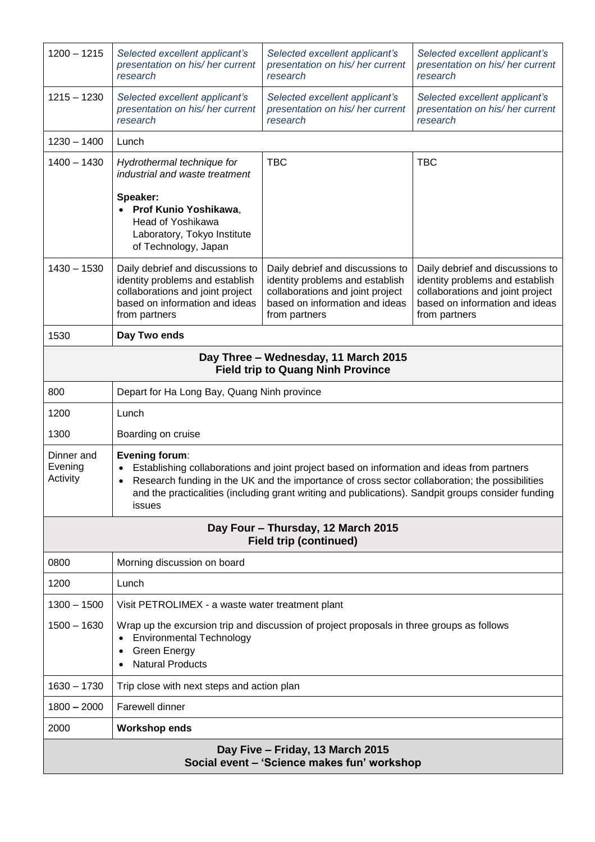| $1200 - 1215$                                                                    | Selected excellent applicant's<br>presentation on his/ her current<br>research                                                                                                                                                                                                                                                        | Selected excellent applicant's<br>presentation on his/ her current<br>research                                                                             | Selected excellent applicant's<br>presentation on his/ her current<br>research                                                                             |  |
|----------------------------------------------------------------------------------|---------------------------------------------------------------------------------------------------------------------------------------------------------------------------------------------------------------------------------------------------------------------------------------------------------------------------------------|------------------------------------------------------------------------------------------------------------------------------------------------------------|------------------------------------------------------------------------------------------------------------------------------------------------------------|--|
| $1215 - 1230$                                                                    | Selected excellent applicant's<br>presentation on his/ her current<br>research                                                                                                                                                                                                                                                        | Selected excellent applicant's<br>presentation on his/ her current<br>research                                                                             | Selected excellent applicant's<br>presentation on his/her current<br>research                                                                              |  |
| $1230 - 1400$                                                                    | Lunch                                                                                                                                                                                                                                                                                                                                 |                                                                                                                                                            |                                                                                                                                                            |  |
| $1400 - 1430$                                                                    | Hydrothermal technique for<br>industrial and waste treatment                                                                                                                                                                                                                                                                          | <b>TBC</b>                                                                                                                                                 | <b>TBC</b>                                                                                                                                                 |  |
|                                                                                  | Speaker:<br>• Prof Kunio Yoshikawa,<br>Head of Yoshikawa<br>Laboratory, Tokyo Institute<br>of Technology, Japan                                                                                                                                                                                                                       |                                                                                                                                                            |                                                                                                                                                            |  |
| $1430 - 1530$                                                                    | Daily debrief and discussions to<br>identity problems and establish<br>collaborations and joint project<br>based on information and ideas<br>from partners                                                                                                                                                                            | Daily debrief and discussions to<br>identity problems and establish<br>collaborations and joint project<br>based on information and ideas<br>from partners | Daily debrief and discussions to<br>identity problems and establish<br>collaborations and joint project<br>based on information and ideas<br>from partners |  |
| 1530                                                                             | Day Two ends                                                                                                                                                                                                                                                                                                                          |                                                                                                                                                            |                                                                                                                                                            |  |
| Day Three - Wednesday, 11 March 2015<br><b>Field trip to Quang Ninh Province</b> |                                                                                                                                                                                                                                                                                                                                       |                                                                                                                                                            |                                                                                                                                                            |  |
| 800                                                                              | Depart for Ha Long Bay, Quang Ninh province                                                                                                                                                                                                                                                                                           |                                                                                                                                                            |                                                                                                                                                            |  |
| 1200                                                                             | Lunch                                                                                                                                                                                                                                                                                                                                 |                                                                                                                                                            |                                                                                                                                                            |  |
| 1300                                                                             | Boarding on cruise                                                                                                                                                                                                                                                                                                                    |                                                                                                                                                            |                                                                                                                                                            |  |
| Dinner and<br>Evening<br>Activity                                                | <b>Evening forum:</b><br>Establishing collaborations and joint project based on information and ideas from partners<br>Research funding in the UK and the importance of cross sector collaboration; the possibilities<br>and the practicalities (including grant writing and publications). Sandpit groups consider funding<br>issues |                                                                                                                                                            |                                                                                                                                                            |  |
| Day Four - Thursday, 12 March 2015<br><b>Field trip (continued)</b>              |                                                                                                                                                                                                                                                                                                                                       |                                                                                                                                                            |                                                                                                                                                            |  |
| 0800                                                                             | Morning discussion on board                                                                                                                                                                                                                                                                                                           |                                                                                                                                                            |                                                                                                                                                            |  |
| 1200                                                                             | Lunch                                                                                                                                                                                                                                                                                                                                 |                                                                                                                                                            |                                                                                                                                                            |  |
| $1300 - 1500$                                                                    | Visit PETROLIMEX - a waste water treatment plant                                                                                                                                                                                                                                                                                      |                                                                                                                                                            |                                                                                                                                                            |  |
| $1500 - 1630$                                                                    | Wrap up the excursion trip and discussion of project proposals in three groups as follows<br><b>Environmental Technology</b><br><b>Green Energy</b><br><b>Natural Products</b><br>$\bullet$                                                                                                                                           |                                                                                                                                                            |                                                                                                                                                            |  |
| $1630 - 1730$                                                                    | Trip close with next steps and action plan                                                                                                                                                                                                                                                                                            |                                                                                                                                                            |                                                                                                                                                            |  |
| $1800 - 2000$                                                                    | Farewell dinner                                                                                                                                                                                                                                                                                                                       |                                                                                                                                                            |                                                                                                                                                            |  |
| 2000                                                                             | <b>Workshop ends</b>                                                                                                                                                                                                                                                                                                                  |                                                                                                                                                            |                                                                                                                                                            |  |
| Day Five - Friday, 13 March 2015<br>Social event - 'Science makes fun' workshop  |                                                                                                                                                                                                                                                                                                                                       |                                                                                                                                                            |                                                                                                                                                            |  |